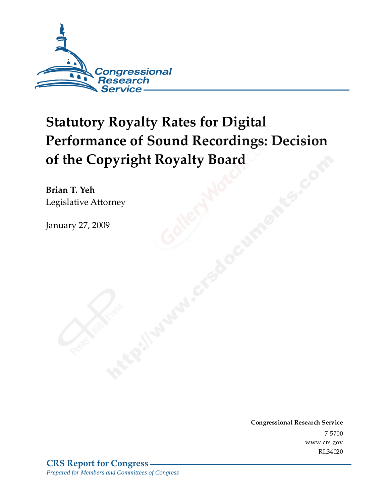

# **Statutory Royalty Rates for Digital Performance of Sound Recordings: Decision** of the Copyright Royalty Board

Brian T. Yeh Legislative Attorney

January 27, 2009

Conglessional Research Service  $7 - 2700$ www.crs.gov RL34020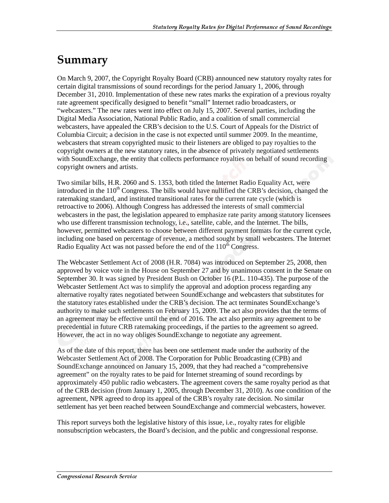### Summary

On March 9, 2007, the Copyright Royalty Board (CRB) announced new statutory royalty rates for certain digital transmissions of sound recordings for the period January 1, 2006, through December 31, 2010. Implementation of these new rates marks the expiration of a previous royalty rate agreement specifically designed to benefit "small" Internet radio broadcasters, or "webcasters." The new rates went into effect on July 15, 2007. Several parties, including the Digital Media Association, National Public Radio, and a coalition of small commercial webcasters, have appealed the CRB's decision to the U.S. Court of Appeals for the District of Columbia Circuit; a decision in the case is not expected until summer 2009. In the meantime, webcasters that stream copyrighted music to their listeners are obliged to pay royalties to the copyright owners at the new statutory rates, in the absence of privately negotiated settlements with SoundExchange, the entity that collects performance royalties on behalf of sound recording copyright owners and artists.

Two similar bills, H.R. 2060 and S. 1353, both titled the Internet Radio Equality Act, were introduced in the  $110<sup>th</sup>$  Congress. The bills would have nullified the CRB's decision, changed the ratemaking standard, and instituted transitional rates for the current rate cycle (which is retroactive to 2006). Although Congress has addressed the interests of small commercial webcasters in the past, the legislation appeared to emphasize rate parity among statutory licensees who use different transmission technology, i.e., satellite, cable, and the Internet. The bills, however, permitted webcasters to choose between different payment formats for the current cycle, including one based on percentage of revenue, a method sought by small webcasters. The Internet Radio Equality Act was not passed before the end of the  $110<sup>th</sup>$  Congress.

The Webcaster Settlement Act of 2008 (H.R. 7084) was introduced on September 25, 2008, then approved by voice vote in the House on September 27 and by unanimous consent in the Senate on September 30. It was signed by President Bush on October 16 (P.L. 110-435). The purpose of the Webcaster Settlement Act was to simplify the approval and adoption process regarding any alternative royalty rates negotiated between SoundExchange and webcasters that substitutes for the statutory rates established under the CRB's decision. The act terminates SoundExchange's authority to make such settlements on February 15, 2009. The act also provides that the terms of an agreement may be effective until the end of 2016. The act also permits any agreement to be precedential in future CRB ratemaking proceedings, if the parties to the agreement so agreed. However, the act in no way obliges SoundExchange to negotiate any agreement.

As of the date of this report, there has been one settlement made under the authority of the Webcaster Settlement Act of 2008. The Corporation for Public Broadcasting (CPB) and SoundExchange announced on January 15, 2009, that they had reached a "comprehensive agreement" on the royalty rates to be paid for Internet streaming of sound recordings by approximately 450 public radio webcasters. The agreement covers the same royalty period as that of the CRB decision (from January 1, 2005, through December 31, 2010). As one condition of the agreement, NPR agreed to drop its appeal of the CRB's royalty rate decision. No similar settlement has yet been reached between SoundExchange and commercial webcasters, however.

This report surveys both the legislative history of this issue, i.e., royalty rates for eligible nonsubscription webcasters, the Board's decision, and the public and congressional response.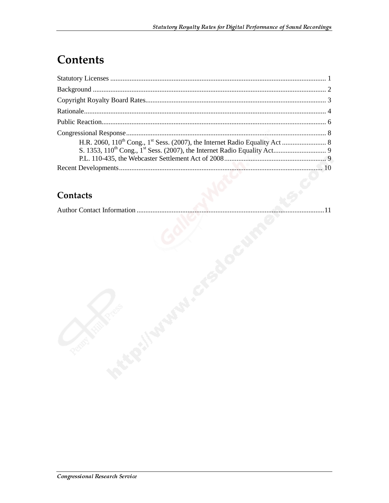## **Contents**

#### Contacts

|--|--|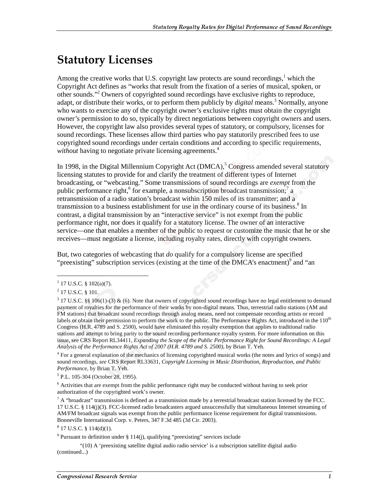### **Statutory Licenses**

Among the creative works that U.S. copyright law protects are sound recordings,<sup>1</sup> which the Copyright Act defines as "works that result from the fixation of a series of musical, spoken, or other sounds."<sup>2</sup> Owners of copyrighted sound recordings have exclusive rights to reproduce, adapt, or distribute their works, or to perform them publicly by *digital* means.<sup>3</sup> Normally, anyone who wants to exercise any of the copyright owner's exclusive rights must obtain the copyright owner's permission to do so, typically by direct negotiations between copyright owners and users. However, the copyright law also provides several types of statutory, or compulsory, licenses for sound recordings. These licenses allow third parties who pay statutorily prescribed fees to use copyrighted sound recordings under certain conditions and according to specific requirements, *without* having to negotiate private licensing agreements.<sup>4</sup>

In 1998, in the Digital Millennium Copyright Act (DMCA),<sup>5</sup> Congress amended several statutory licensing statutes to provide for and clarify the treatment of different types of Internet broadcasting, or "webcasting." Some transmissions of sound recordings are *exempt* from the public performance right,  $6$  for example, a nonsubscription broadcast transmission;<sup>7</sup> a retransmission of a radio station's broadcast within 150 miles of its transmitter; and a transmission to a business establishment for use in the ordinary course of its business.<sup>8</sup> In contrast, a digital transmission by an "interactive service" is not exempt from the public performance right, nor does it qualify for a statutory license. The owner of an interactive service—one that enables a member of the public to request or customize the music that he or she receives—must negotiate a license, including royalty rates, directly with copyright owners.

But, two categories of webcasting that *do* qualify for a compulsory license are specified "preexisting" subscription services (existing at the time of the DMCA's enactment)<sup>9</sup> and "an

j

<sup>4</sup> For a general explanation of the mechanics of licensing copyrighted musical works (the notes and lyrics of songs) and sound recordings, *see* CRS Report RL33631, *Copyright Licensing in Music Distribution, Reproduction, and Public Performance*, by Brian T. Yeh.

5 P.L. 105-304 (October 28, 1995).

 $^7$  A "broadcast" transmission is defined as a transmission made by a terrestrial broadcast station licensed by the FCC. 17 U.S.C. § 114(j)(3). FCC-licensed radio broadcasters argued unsuccessfully that simultaneous Internet streaming of AM/FM broadcast signals was exempt from the public performance license requirement for digital transmissions. Bonneville International Corp. v. Peters, 347 F.3d 485 (3d Cir. 2003).

 $8$  17 U.S.C. § 114(d)(1).

"(10) A 'preexisting satellite digital audio radio service' is a subscription satellite digital audio (continued...)

 $1$  17 U.S.C. § 102(a)(7).

 $^{2}$  17 U.S.C. § 101.

 $3$  17 U.S.C. §§ 106(1)-(3) & (6). Note that owners of copyrighted sound recordings have no legal entitlement to demand payment of royalties for the performance of their works by non-digital means. Thus, terrestrial radio stations (AM and FM stations) that broadcast sound recordings through analog means, need not compensate recording artists or record labels or obtain their permission to perform the work to the public. The Performance Rights Act, introduced in the 110<sup>th</sup> Congress (H.R. 4789 and S. 2500), would have eliminated this royalty exemption that applies to traditional radio stations and attempt to bring parity to the sound recording performance royalty system. For more information on this issue, see CRS Report RL34411, *Expanding the Scope of the Public Performance Right for Sound Recordings: A Legal Analysis of the Performance Rights Act of 2007 (H.R. 4789 and S. 2500)*, by Brian T. Yeh.

<sup>6</sup> Activities that are exempt from the public performance right may be conducted without having to seek prior authorization of the copyrighted work's owner.

<sup>&</sup>lt;sup>9</sup> Pursuant to definition under  $\S 114(j)$ , qualifying "preexisting" services include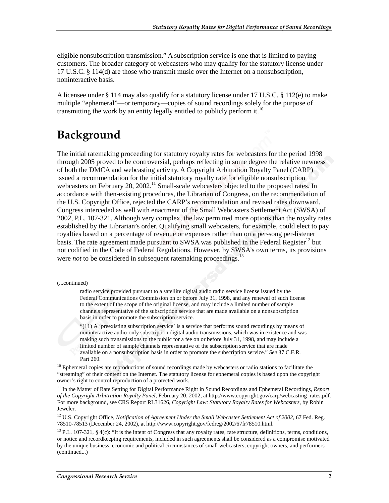eligible nonsubscription transmission." A subscription service is one that is limited to paying customers. The broader category of webcasters who may qualify for the statutory license under 17 U.S.C. § 114(d) are those who transmit music over the Internet on a nonsubscription, noninteractive basis.

A licensee under § 114 may also qualify for a statutory license under 17 U.S.C. § 112(e) to make multiple "ephemeral"—or temporary—copies of sound recordings solely for the purpose of transmitting the work by an entity legally entitled to publicly perform it.<sup>10</sup>

### Background

The initial ratemaking proceeding for statutory royalty rates for webcasters for the period 1998 through 2005 proved to be controversial, perhaps reflecting in some degree the relative newness of both the DMCA and webcasting activity. A Copyright Arbitration Royalty Panel (CARP) issued a recommendation for the initial statutory royalty rate for eligible nonsubscription webcasters on February 20, 2002.<sup>11</sup> Small-scale webcasters objected to the proposed rates. In accordance with then-existing procedures, the Librarian of Congress, on the recommendation of the U.S. Copyright Office, rejected the CARP's recommendation and revised rates downward. Congress interceded as well with enactment of the Small Webcasters Settlement Act (SWSA) of 2002, P.L. 107-321. Although very complex, the law permitted more options than the royalty rates established by the Librarian's order. Qualifying small webcasters, for example, could elect to pay royalties based on a percentage of revenue or expenses rather than on a per-song per-listener basis. The rate agreement made pursuant to SWSA was published in the Federal Register<sup>12</sup> but not codified in the Code of Federal Regulations. However, by SWSA's own terms, its provisions were *not* to be considered in subsequent ratemaking proceedings.<sup>13</sup>

j

<sup>12</sup> U.S. Copyright Office, *Notification of Agreement Under the Small Webcaster Settlement Act of 2002*, 67 Fed. Reg. 78510-78513 (December 24, 2002), at http://www.copyright.gov/fedreg/2002/67fr78510.html.

<sup>13</sup> P.L. 107-321, § 4(c): "It is the intent of Congress that any royalty rates, rate structure, definitions, terms, conditions, or notice and recordkeeping requirements, included in such agreements shall be considered as a compromise motivated by the unique business, economic and political circumstances of small webcasters, copyright owners, and performers (continued...)

<sup>(...</sup>continued)

radio service provided pursuant to a satellite digital audio radio service license issued by the Federal Communications Commission on or before July 31, 1998, and any renewal of such license to the extent of the scope of the original license, and may include a limited number of sample channels representative of the subscription service that are made available on a nonsubscription basis in order to promote the subscription service.

<sup>&</sup>quot;(11) A 'preexisting subscription service' is a service that performs sound recordings by means of noninteractive audio-only subscription digital audio transmissions, which was in existence and was making such transmissions to the public for a fee on or before July 31, 1998, and may include a limited number of sample channels representative of the subscription service that are made available on a nonsubscription basis in order to promote the subscription service." *See* 37 C.F.R. Part 260.

 $10$  Ephemeral copies are reproductions of sound recordings made by webcasters or radio stations to facilitate the "streaming" of their content on the Internet. The statutory license for ephemeral copies is based upon the copyright owner's right to control reproduction of a protected work.

<sup>&</sup>lt;sup>11</sup> In the Matter of Rate Setting for Digital Performance Right in Sound Recordings and Ephemeral Recordings, *Report of the Copyright Arbitration Royalty Panel,* February 20, 2002, at http://www.copyright.gov/carp/webcasting\_rates.pdf. For more background, see CRS Report RL31626, *Copyright Law: Statutory Royalty Rates for Webcasters*, by Robin Jeweler.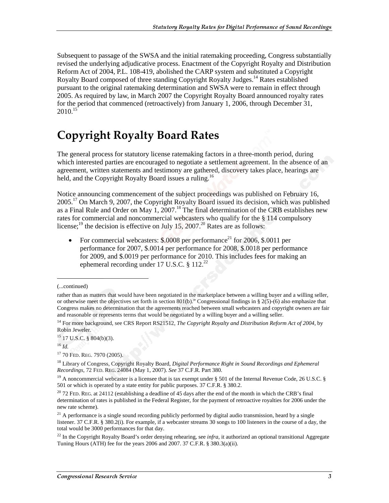Subsequent to passage of the SWSA and the initial ratemaking proceeding, Congress substantially revised the underlying adjudicative process. Enactment of the Copyright Royalty and Distribution Reform Act of 2004, P.L. 108-419, abolished the CARP system and substituted a Copyright Royalty Board composed of three standing Copyright Royalty Judges.<sup>14</sup> Rates established pursuant to the original ratemaking determination and SWSA were to remain in effect through 2005. As required by law, in March 2007 the Copyright Royalty Board announced royalty rates for the period that commenced (retroactively) from January 1, 2006, through December 31,  $2010^{15}$ 

## **Copyright Royalty Board Rates**

The general process for statutory license ratemaking factors in a three-month period, during which interested parties are encouraged to negotiate a settlement agreement. In the absence of an agreement, written statements and testimony are gathered, discovery takes place, hearings are held, and the Copyright Royalty Board issues a ruling.<sup>16</sup>

Notice announcing commencement of the subject proceedings was published on February 16,  $2005<sup>17</sup>$  On March 9, 2007, the Copyright Royalty Board issued its decision, which was published as a Final Rule and Order on May  $1,2007$ .<sup>18</sup> The final determination of the CRB establishes new rates for commercial and noncommercial webcasters who qualify for the § 114 compulsory license;<sup>19</sup> the decision is effective on July 15, 2007.<sup>20</sup> Rates are as follows:

• For commercial webcasters:  $$0008$  per performance<sup>21</sup> for 2006,  $$0011$  per performance for 2007, \$.0014 per performance for 2008, \$.0018 per performance for 2009, and \$.0019 per performance for 2010. This includes fees for making an ephemeral recording under 17 U.S.C.  $\S 112^{22}$ 

j

 $15$  17 U.S.C. § 804(b)(3).

<sup>16</sup> *Id.*

<sup>17</sup> 70 FED. REG. 7970 (2005).

<sup>(...</sup>continued)

rather than as matters that would have been negotiated in the marketplace between a willing buyer and a willing seller, or otherwise meet the objectives set forth in section 801(b)." Congressional findings in § 2(5)-(6) also emphasize that Congress makes no determination that the agreements reached between small webcasters and copyright owners are fair and reasonable or represents terms that would be negotiated by a willing buyer and a willing seller.

<sup>&</sup>lt;sup>14</sup> For more background, see CRS Report RS21512, *The Copyright Royalty and Distribution Reform Act of 2004*, by Robin Jeweler.

<sup>18</sup> Library of Congress, Copyright Royalty Board, *Digital Performance Right in Sound Recordings and Ephemeral Recordings,* 72 FED. REG. 24084 (May 1, 2007). *See* 37 C.F.R. Part 380.

<sup>&</sup>lt;sup>19</sup> A noncommercial webcaster is a licensee that is tax exempt under § 501 of the Internal Revenue Code, 26 U.S.C. § 501 or which is operated by a state entity for public purposes. 37 C.F.R. § 380.2.

 $20$  72 FED. REG. at 24112 (establishing a deadline of 45 days after the end of the month in which the CRB's final determination of rates is published in the Federal Register, for the payment of retroactive royalties for 2006 under the new rate scheme).

 $21$  A performance is a single sound recording publicly performed by digital audio transmission, heard by a single listener. 37 C.F.R. § 380.2(i). For example, if a webcaster streams 30 songs to 100 listeners in the course of a day, the total would be 3000 performances for that day.

<sup>22</sup> In the Copyright Royalty Board's order denying rehearing, see *infra,* it authorized an optional transitional Aggregate Tuning Hours (ATH) fee for the years 2006 and 2007. 37 C.F.R. § 380.3(a)(ii).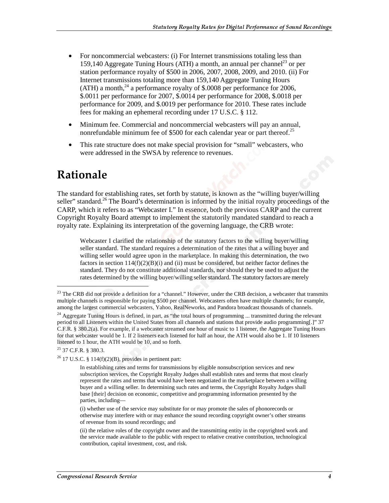- For noncommercial webcasters: (i) For Internet transmissions totaling less than 159,140 Aggregate Tuning Hours (ATH) a month, an annual per channel<sup>23</sup> or per station performance royalty of \$500 in 2006, 2007, 2008, 2009, and 2010. (ii) For Internet transmissions totaling more than 159,140 Aggregate Tuning Hours (ATH) a month, $^{24}$  a performance royalty of \$.0008 per performance for 2006, \$.0011 per performance for 2007, \$.0014 per performance for 2008, \$.0018 per performance for 2009, and \$.0019 per performance for 2010. These rates include fees for making an ephemeral recording under 17 U.S.C. § 112.
- Minimum fee. Commercial and noncommercial webcasters will pay an annual, nonrefundable minimum fee of \$500 for each calendar year or part thereof.<sup>25</sup>
- This rate structure does not make special provision for "small" webcasters, who were addressed in the SWSA by reference to revenues.

#### **Rationale**

The standard for establishing rates, set forth by statute, is known as the "willing buyer/willing seller" standard.<sup>26</sup> The Board's determination is informed by the initial royalty proceedings of the CARP, which it refers to as "Webcaster I." In essence, both the previous CARP and the current Copyright Royalty Board attempt to implement the statutorily mandated standard to reach a royalty rate. Explaining its interpretation of the governing language, the CRB wrote:

Webcaster I clarified the relationship of the statutory factors to the willing buyer/willing seller standard. The standard requires a determination of the rates that a willing buyer and willing seller would agree upon in the marketplace. In making this determination, the two factors in section  $114(f)(2)(B)(i)$  and (ii) must be considered, but neither factor defines the standard. They do not constitute additional standards, nor should they be used to adjust the rates determined by the willing buyer/willing seller standard. The statutory factors are merely

 $^{23}$  The CRB did not provide a definition for a "channel." However, under the CRB decision, a webcaster that transmits multiple channels is responsible for paying \$500 per channel. Webcasters often have multiple channels; for example, among the largest commercial webcasters, Yahoo, RealNeworks, and Pandora broadcast thousands of channels.

<sup>&</sup>lt;sup>24</sup> Aggregate Tuning Hours is defined, in part, as "the total hours of programming ... transmitted during the relevant period to all Listeners within the United States from all channels and stations that provide audio programming[.]" 37 C.F.R. § 380.2(a). For example, if a webcaster streamed one hour of music to 1 listener, the Aggregate Tuning Hours for that webcaster would be 1. If 2 listeners each listened for half an hour, the ATH would also be 1. If 10 listeners listened to 1 hour, the ATH would be 10, and so forth.

 $^{25}$  37 C.F.R. § 380.3.

 $26$  17 U.S.C. § 114(f)(2)(B), provides in pertinent part:

In establishing rates and terms for transmissions by eligible nonsubscription services and new subscription services, the Copyright Royalty Judges shall establish rates and terms that most clearly represent the rates and terms that would have been negotiated in the marketplace between a willing buyer and a willing seller. In determining such rates and terms, the Copyright Royalty Judges shall base [their] decision on economic, competitive and programming information presented by the parties, including—

<sup>(</sup>i) whether use of the service may substitute for or may promote the sales of phonorecords or otherwise may interfere with or may enhance the sound recording copyright owner's other streams of revenue from its sound recordings; and

<sup>(</sup>ii) the relative roles of the copyright owner and the transmitting entity in the copyrighted work and the service made available to the public with respect to relative creative contribution, technological contribution, capital investment, cost, and risk.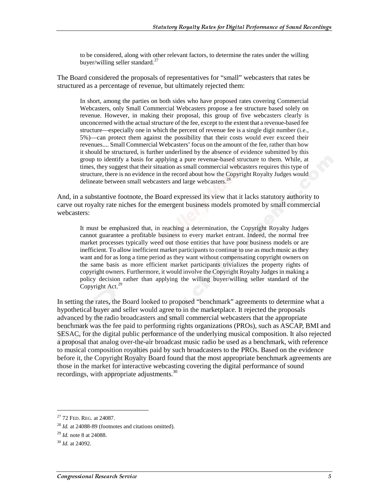to be considered, along with other relevant factors, to determine the rates under the willing buyer/willing seller standard. $^{27}$ 

The Board considered the proposals of representatives for "small" webcasters that rates be structured as a percentage of revenue, but ultimately rejected them:

In short, among the parties on both sides who have proposed rates covering Commercial Webcasters, only Small Commercial Webcasters propose a fee structure based solely on revenue. However, in making their proposal, this group of five webcasters clearly is unconcerned with the actual structure of the fee, except to the extent that a revenue-based fee structure—especially one in which the percent of revenue fee is a single digit number (i.e., 5%)—can protect them against the possibility that their costs would ever exceed their revenues.... Small Commercial Webcasters' focus on the amount of the fee, rather than how it should be structured, is further underlined by the absence of evidence submitted by this group to identify a basis for applying a pure revenue-based structure to them. While, at times, they suggest that their situation as small commercial webcasters requires this type of structure, there is no evidence in the record about how the Copyright Royalty Judges would delineate between small webcasters and large webcasters.<sup>2</sup>

And, in a substantive footnote, the Board expressed its view that it lacks statutory authority to carve out royalty rate niches for the emergent business models promoted by small commercial webcasters:

It must be emphasized that, in reaching a determination, the Copyright Royalty Judges cannot guarantee a profitable business to every market entrant. Indeed, the normal free market processes typically weed out those entities that have poor business models or are inefficient. To allow inefficient market participants to continue to use as much music as they want and for as long a time period as they want without compensating copyright owners on the same basis as more efficient market participants trivializes the property rights of copyright owners. Furthermore, it would involve the Copyright Royalty Judges in making a policy decision rather than applying the willing buyer/willing seller standard of the Copyright Act.<sup>29</sup>

In setting the rates, the Board looked to proposed "benchmark" agreements to determine what a hypothetical buyer and seller would agree to in the marketplace. It rejected the proposals advanced by the radio broadcasters and small commercial webcasters that the appropriate benchmark was the fee paid to performing rights organizations (PROs), such as ASCAP, BMI and SESAC, for the digital public performance of the underlying musical composition. It also rejected a proposal that analog over-the-air broadcast music radio be used as a benchmark, with reference to musical composition royalties paid by such broadcasters to the PROs. Based on the evidence before it, the Copyright Royalty Board found that the most appropriate benchmark agreements are those in the market for interactive webcasting covering the digital performance of sound recordings, with appropriate adjustments.<sup>30</sup>

 $27$  72 Fep. Reg. at 24087.

<sup>28</sup> *Id.* at 24088-89 (footnotes and citations omitted).

<sup>29</sup> *Id.* note 8 at 24088.

<sup>30</sup> *Id.* at 24092.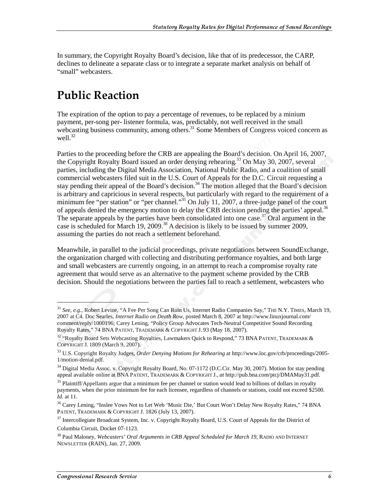In summary, the Copyright Royalty Board's decision, like that of its predecessor, the CARP, declines to delineate a separate class or to integrate a separate market analysis on behalf of "small" webcasters.

### **Public Reaction**

The expiration of the option to pay a percentage of revenues, to be replaced by a minium payment, per-song per- listener formula, was, predictably, not well received in the small webcasting business community, among others.<sup>31</sup> Some Members of Congress voiced concern as well. $32$ 

Parties to the proceeding before the CRB are appealing the Board's decision. On April 16, 2007, the Copyright Royalty Board issued an order denying rehearing.<sup>33</sup> On May 30, 2007, several parties, including the Digital Media Association, National Public Radio, and a coalition of small commercial webcasters filed suit in the U.S. Court of Appeals for the D.C. Circuit requesting a stay pending their appeal of the Board's decision.<sup>34</sup> The motion alleged that the Board's decision is arbitrary and capricious in several respects, but particularly with regard to the requirement of a minimum fee "per station" or "per channel."<sup>35</sup> On July 11, 2007, a three-judge panel of the court of appeals denied the emergency motion to delay the CRB decision pending the parties' appeal.<sup>36</sup> The separate appeals by the parties have been consolidated into one case.<sup>37</sup> Oral argument in the case is scheduled for March 19, 2009.<sup>38</sup> A decision is likely to be issued by summer 2009, assuming the parties do not reach a settlement beforehand.

Meanwhile, in parallel to the judicial proceedings, private negotiations between SoundExchange, the organization charged with collecting and distributing performance royalties, and both large and small webcasters are currently ongoing, in an attempt to reach a compromise royalty rate agreement that would serve as an alternative to the payment scheme provided by the CRB decision. Should the negotiations between the parties fail to reach a settlement, webcasters who

 $\overline{a}$ 

<sup>31</sup> *See, e.g.,* Robert Levine, "A Fee Per Song Can Ruin Us, Internet Radio Companies Say," THE N.Y. TIMES, March 19, 2007 at C4. Doc Searles, *Internet Radio on Death Row,* posted March 8, 2007 at http://www.linuxjournal.com/ comment/reply/1000196; Carey Lening, "Policy Group Advocates Tech-Neutral Competitive Sound Recording Royalty Rates," 74 BNA PATENT, TRADEMARK & COPYRIGHT J. 93 (May 18, 2007).

 $32$  "Royalty Board Sets Webcasting Royalties, Lawmakers Quick to Respond," 73 BNA PATENT, TRADEMARK & COPYRIGHT J. 1809 (March 9, 2007).

<sup>33</sup> U.S. Copyright Royalty Judges, *Order Denying Motions for Rehearing* at http://www.loc.gov/crb/proceedings/2005- 1/motion-denial.pdf.

<sup>&</sup>lt;sup>34</sup> Digital Media Assoc. v. Copyright Royalty Board, No. 07-1172 (D.C.Cir. May 30, 2007). Motion for stay pending appeal available online at BNA PATENT, TRADEMARK & COPYRIGHT J., *at* http://pub.bna.com/ptcj/DMAMay31.pdf.

<sup>&</sup>lt;sup>35</sup> Plaintiff/Appellants argue that a minimum fee per channel or station would lead to billions of dollars in royalty payments, when the prior minimum fee for each licensee, regardless of channels or stations, could not exceed \$2500. *Id.* at 11.

<sup>&</sup>lt;sup>36</sup> Carey Lening, "Inslee Vows Not to Let Web 'Music Die,' But Court Won't Delay New Royalty Rates," 74 BNA PATENT, TRADEMARK & COPYRIGHT J. 1826 (July 13, 2007).

<sup>&</sup>lt;sup>37</sup> Intercollegiate Broadcast System, Inc. v. Copyright Royalty Board, U.S. Court of Appeals for the District of Columbia Circuit, Docket 07-1123.

<sup>38</sup> Paul Maloney, *Webcasters' Oral Arguments in CRB Appeal Scheduled for March 19,* RADIO AND INTERNET NEWSLETTER (RAIN), Jan. 27, 2009.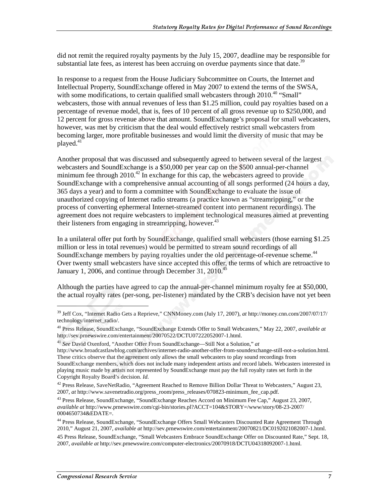did not remit the required royalty payments by the July 15, 2007, deadline may be responsible for substantial late fees, as interest has been accruing on overdue payments since that date.<sup>39</sup>

In response to a request from the House Judiciary Subcommittee on Courts, the Internet and Intellectual Property, SoundExchange offered in May 2007 to extend the terms of the SWSA, with some modifications, to certain qualified small webcasters through  $2010^{40}$  "Small" webcasters, those with annual revenues of less than \$1.25 million, could pay royalties based on a percentage of revenue model, that is, fees of 10 percent of all gross revenue up to \$250,000, and 12 percent for gross revenue above that amount. SoundExchange's proposal for small webcasters, however, was met by criticism that the deal would effectively restrict small webcasters from becoming larger, more profitable businesses and would limit the diversity of music that may be  $plaved.<sup>41</sup>$ 

Another proposal that was discussed and subsequently agreed to between several of the largest webcasters and SoundExchange is a \$50,000 per year cap on the \$500 annual-per-channel minimum fee through  $2010^{42}$  In exchange for this cap, the webcasters agreed to provide SoundExchange with a comprehensive annual accounting of all songs performed (24 hours a day, 365 days a year) and to form a committee with SoundExchange to evaluate the issue of unauthorized copying of Internet radio streams (a practice known as "streamripping," or the process of converting ephermeral Internet-streamed content into permanent recordings). The agreement does not require webcasters to implement technological measures aimed at preventing their listeners from engaging in streamripping, however.  $43$ 

In a unilateral offer put forth by SoundExchange, qualified small webcasters (those earning \$1.25 million or less in total revenues) would be permitted to stream sound recordings of all SoundExchange members by paying royalties under the old percentage-of-revenue scheme.<sup>44</sup> Over twenty small webcasters have since accepted this offer, the terms of which are retroactive to January 1, 2006, and continue through December 31, 2010.<sup>45</sup>

Although the parties have agreed to cap the annual-per-channel minimum royalty fee at \$50,000, the actual royalty rates (per-song, per-listener) mandated by the CRB's decision have not yet been

 $\overline{a}$ 

<sup>39</sup> Jeff Cox, "Internet Radio Gets a Reprieve," CNNMoney.com (July 17, 2007), *at* http://money.cnn.com/2007/07/17/ technology/internet\_radio/.

<sup>40</sup> Press Release, SoundExchange, "SoundExchange Extends Offer to Small Webcasters," May 22, 2007, *available at* http://sev.prnewswire.com/entertainment/20070522/DCTU07222052007-1.html.

<sup>41</sup> *See* David Oxenford, "Another Offer From SoundExchange—Still Not a Solution," *at* 

http://www.broadcastlawblog.com/archives/internet-radio-another-offer-from-soundexchange-still-not-a-solution.html. These critics observe that the agreement only allows the small webcasters to play sound recordings from SoundExchange members, which does not include many independent artists and record labels. Webcasters interested in playing music made by artists not represented by SoundExchange must pay the full royalty rates set forth in the Copyright Royalty Board's decision. *Id.* 

<sup>&</sup>lt;sup>42</sup> Press Release, SaveNetRadio, "Agreement Reached to Remove Billion Dollar Threat to Webcasters," August 23, 2007, *at* http://www.savenetradio.org/press\_room/press\_releases/070823-minimum\_fee\_cap.pdf.

<sup>43</sup> Press Release, SoundExchange, "SoundExchange Reaches Accord on Minimum Fee Cap," August 23, 2007, *available at* http://www.prnewswire.com/cgi-bin/stories.pl?ACCT=104&STORY=/www/story/08-23-2007/ 0004650734&EDATE=.

<sup>44</sup> Press Release, SoundExchange, "SoundExchange Offers Small Webcasters Discounted Rate Agreement Through 2010," August 21, 2007, *available at* http://sev.prnewswire.com/entertainment/20070821/DC0192021082007-1.html.

<sup>45</sup> Press Release, SoundExchange, "Small Webcasters Embrace SoundExchange Offer on Discounted Rate," Sept. 18, 2007, *available at* http://sev.prnewswire.com/computer-electronics/20070918/DCTU04318092007-1.html.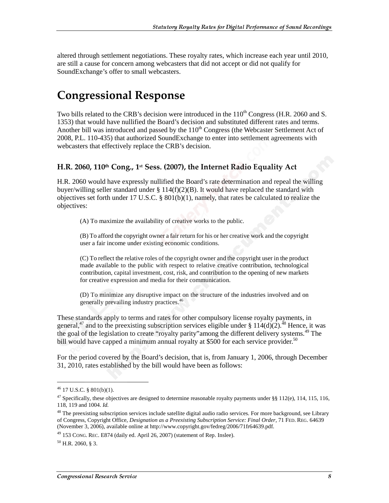altered through settlement negotiations. These royalty rates, which increase each year until 2010, are still a cause for concern among webcasters that did not accept or did not qualify for SoundExchange's offer to small webcasters.

#### **Congressional Response**

Two bills related to the CRB's decision were introduced in the  $110^{th}$  Congress (H.R. 2060 and S. 1353) that would have nullified the Board's decision and substituted different rates and terms. Another bill was introduced and passed by the  $110<sup>th</sup>$  Congress (the Webcaster Settlement Act of 2008, P.L. 110-435) that authorized SoundExchange to enter into settlement agreements with webcasters that effectively replace the CRB's decision.

#### H.R. 2060, 110th Cong., 1st Sess. (2007), the Internet Radio Equality Act

H.R. 2060 would have expressly nullified the Board's rate determination and repeal the willing buyer/willing seller standard under  $\S 114(f)(2)(B)$ . It would have replaced the standard with objectives set forth under  $17 \text{ U.S.C. }$  §  $801(b)(1)$ , namely, that rates be calculated to realize the objectives:

(A) To maximize the availability of creative works to the public.

(B) To afford the copyright owner a fair return for his or her creative work and the copyright user a fair income under existing economic conditions.

(C) To reflect the relative roles of the copyright owner and the copyright user in the product made available to the public with respect to relative creative contribution, technological contribution, capital investment, cost, risk, and contribution to the opening of new markets for creative expression and media for their communication.

(D) To minimize any disruptive impact on the structure of the industries involved and on generally prevailing industry practices.<sup>46</sup>

These standards apply to terms and rates for other compulsory license royalty payments, in general,<sup>47</sup> and to the preexisting subscription services eligible under §  $114(d)(2)$ .<sup>48</sup> Hence, it was the goal of the legislation to create "royalty parity" among the different delivery systems.<sup>49</sup> The bill would have capped a minimum annual royalty at \$500 for each service provider.<sup>50</sup>

For the period covered by the Board's decision, that is, from January 1, 2006, through December 31, 2010, rates established by the bill would have been as follows:

j

 $50$  H.R. 2060, § 3.

<sup>46 17</sup> U.S.C. § 801(b)(1).

<sup>&</sup>lt;sup>47</sup> Specifically, these objectives are designed to determine reasonable royalty payments under §§ 112(e), 114, 115, 116, 118, 119 and 1004. *Id.*

 $48$  The preexisting subscription services include satellite digital audio radio services. For more background, see Library of Congress, Copyright Office, *Designation as a Preexisting Subscription Service: Final Order,* 71 FED. REG. 64639 (November 3, 2006), available online at http://www.copyright.gov/fedreg/2006/71fr64639.pdf.

 $^{49}$  153 CONG. REC. E874 (daily ed. April 26, 2007) (statement of Rep. Inslee).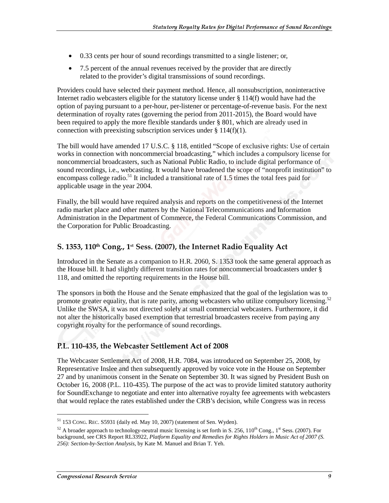- 0.33 cents per hour of sound recordings transmitted to a single listener; or,
- 7.5 percent of the annual revenues received by the provider that are directly related to the provider's digital transmissions of sound recordings.

Providers could have selected their payment method. Hence, all nonsubscription, noninteractive Internet radio webcasters eligible for the statutory license under § 114(f) would have had the option of paying pursuant to a per-hour, per-listener or percentage-of-revenue basis. For the next determination of royalty rates (governing the period from 2011-2015), the Board would have been required to apply the more flexible standards under § 801, which are already used in connection with preexisting subscription services under  $\S 114(f)(1)$ .

The bill would have amended 17 U.S.C. § 118, entitled "Scope of exclusive rights: Use of certain works in connection with noncommercial broadcasting," which includes a compulsory license for noncommercial broadcasters, such as National Public Radio, to include digital performance of sound recordings, i.e., webcasting. It would have broadened the scope of "nonprofit institution" to encompass college radio.<sup>51</sup> It included a transitional rate of 1.5 times the total fees paid for applicable usage in the year 2004.

Finally, the bill would have required analysis and reports on the competitiveness of the Internet radio market place and other matters by the National Telecommunications and Information Administration in the Department of Commerce, the Federal Communications Commission, and the Corporation for Public Broadcasting.

#### S. 1353, 110th Cong., 1st Sess. (2007), the Internet Radio Equality Act

Introduced in the Senate as a companion to H.R. 2060, S. 1353 took the same general approach as the House bill. It had slightly different transition rates for noncommercial broadcasters under § 118, and omitted the reporting requirements in the House bill.

The sponsors in both the House and the Senate emphasized that the goal of the legislation was to promote greater equality, that is rate parity, among webcasters who utilize compulsory licensing.<sup>52</sup> Unlike the SWSA, it was not directed solely at small commercial webcasters. Furthermore, it did not alter the historically based exemption that terrestrial broadcasters receive from paying any copyright royalty for the performance of sound recordings.

#### P.L. 110-435, the Webcaster Settlement Act of 2008

The Webcaster Settlement Act of 2008, H.R. 7084, was introduced on September 25, 2008, by Representative Inslee and then subsequently approved by voice vote in the House on September 27 and by unanimous consent in the Senate on September 30. It was signed by President Bush on October 16, 2008 (P.L. 110-435). The purpose of the act was to provide limited statutory authority for SoundExchange to negotiate and enter into alternative royalty fee agreements with webcasters that would replace the rates established under the CRB's decision, while Congress was in recess

 $51$  153 CONG. REC. S5931 (daily ed. May 10, 2007) (statement of Sen. Wyden).

<sup>&</sup>lt;sup>52</sup> A broader approach to technology-neutral music licensing is set forth in S. 256, 110<sup>th</sup> Cong., 1<sup>st</sup> Sess. (2007). For background, see CRS Report RL33922, *Platform Equality and Remedies for Rights Holders in Music Act of 2007 (S. 256): Section-by-Section Analysis*, by Kate M. Manuel and Brian T. Yeh.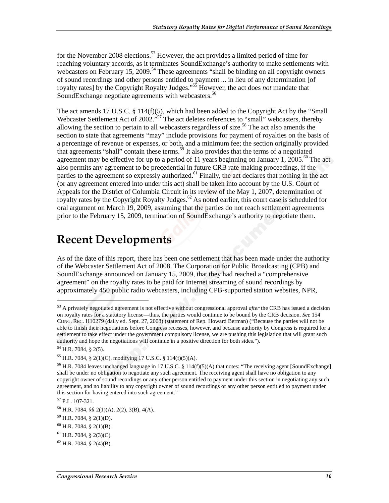for the November 2008 elections.<sup>53</sup> However, the act provides a limited period of time for reaching voluntary accords, as it terminates SoundExchange's authority to make settlements with webcasters on February 15, 2009.<sup>54</sup> These agreements "shall be binding on all copyright owners of sound recordings and other persons entitled to payment ... in lieu of any determination [of royalty rates] by the Copyright Royalty Judges."55 However, the act does *not* mandate that SoundExchange negotiate agreements with webcasters.<sup>56</sup>

The act amends 17 U.S.C. § 114(f)(5), which had been added to the Copyright Act by the "Small Webcaster Settlement Act of 2002."<sup>57</sup> The act deletes references to "small" webcasters, thereby allowing the section to pertain to all webcasters regardless of size.<sup>58</sup> The act also amends the section to state that agreements "may" include provisions for payment of royalties on the basis of a percentage of revenue or expenses, or both, and a minimum fee; the section originally provided that agreements "shall" contain these terms.59 It also provides that the terms of a negotiated agreement may be effective for up to a period of 11 years beginning on January 1, 2005.<sup>60</sup> The act also permits any agreement to be precedential in future CRB rate-making proceedings, if the parties to the agreement so expressly authorized.<sup>61</sup> Finally, the act declares that nothing in the act (or any agreement entered into under this act) shall be taken into account by the U.S. Court of Appeals for the District of Columbia Circuit in its review of the May 1, 2007, determination of royalty rates by the Copyright Royalty Judges.<sup>62</sup> As noted earlier, this court case is scheduled for oral argument on March 19, 2009, assuming that the parties do not reach settlement agreements prior to the February 15, 2009, termination of SoundExchange's authority to negotiate them.

#### **Recent Developments**

As of the date of this report, there has been one settlement that has been made under the authority of the Webcaster Settlement Act of 2008. The Corporation for Public Broadcasting (CPB) and SoundExchange announced on January 15, 2009, that they had reached a "comprehensive agreement" on the royalty rates to be paid for Internet streaming of sound recordings by approximately 450 public radio webcasters, including CPB-supported station websites, NPR,

 $\overline{a}$ 

<sup>53</sup> A privately negotiated agreement is not effective without congressional approval *after* the CRB has issued a decision on royalty rates for a statutory license—thus, the parties would continue to be bound by the CRB decision. *See* 154 CONG. REC. H10279 (daily ed. Sept. 27, 2008) (statement of Rep. Howard Berman) ("Because the parties will not be able to finish their negotiations before Congress recesses, however, and because authority by Congress is required for a settlement to take effect under the government compulsory license, we are pushing this legislation that will grant such authority and hope the negotiations will continue in a positive direction for both sides.").

<sup>54</sup> H.R. 7084, § 2(5).

<sup>55</sup> H.R. 7084, § 2(1)(C), modifying 17 U.S.C. § 114(f)(5)(A).

<sup>56</sup> H.R. 7084 leaves unchanged language in 17 U.S.C. § 114(f)(5)(A) that notes: "The receiving agent [SoundExchange] shall be under no obligation to negotiate any such agreement. The receiving agent shall have no obligation to any copyright owner of sound recordings or any other person entitled to payment under this section in negotiating any such agreement, and no liability to any copyright owner of sound recordings or any other person entitled to payment under this section for having entered into such agreement."

<sup>57</sup> P.L. 107-321.

<sup>58</sup> H.R. 7084, §§ 2(1)(A), 2(2), 3(B), 4(A).

 $59$  H.R. 7084, § 2(1)(D).

 $60$  H.R. 7084, § 2(1)(B).

 $61$  H.R. 7084, § 2(3)(C).

 $62$  H.R. 7084, § 2(4)(B).